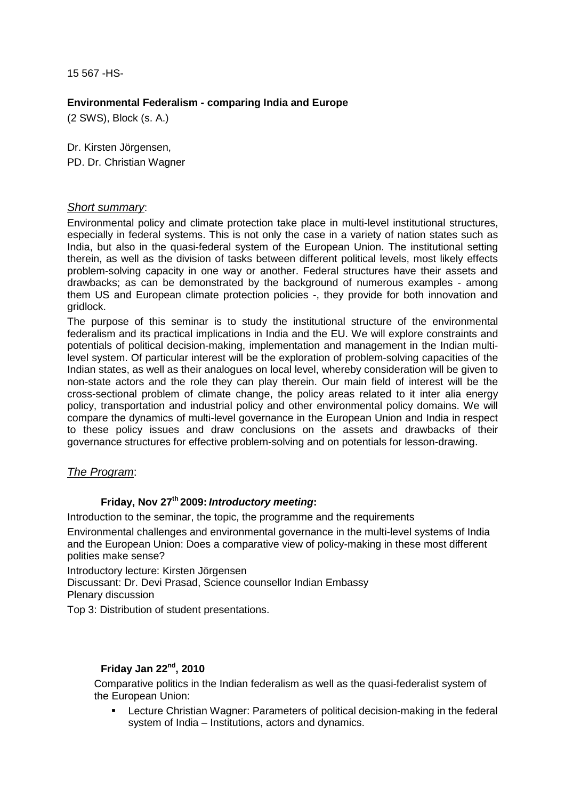15 567 -HS-

### **Environmental Federalism - comparing India and Europe**

(2 SWS), Block (s. A.)

Dr. Kirsten Jörgensen, PD. Dr. Christian Wagner

### Short summary:

Environmental policy and climate protection take place in multi-level institutional structures, especially in federal systems. This is not only the case in a variety of nation states such as India, but also in the quasi-federal system of the European Union. The institutional setting therein, as well as the division of tasks between different political levels, most likely effects problem-solving capacity in one way or another. Federal structures have their assets and drawbacks; as can be demonstrated by the background of numerous examples - among them US and European climate protection policies -, they provide for both innovation and gridlock.

The purpose of this seminar is to study the institutional structure of the environmental federalism and its practical implications in India and the EU. We will explore constraints and potentials of political decision-making, implementation and management in the Indian multilevel system. Of particular interest will be the exploration of problem-solving capacities of the Indian states, as well as their analogues on local level, whereby consideration will be given to non-state actors and the role they can play therein. Our main field of interest will be the cross-sectional problem of climate change, the policy areas related to it inter alia energy policy, transportation and industrial policy and other environmental policy domains. We will compare the dynamics of multi-level governance in the European Union and India in respect to these policy issues and draw conclusions on the assets and drawbacks of their governance structures for effective problem-solving and on potentials for lesson-drawing.

# The Program:

# **Friday, Nov 27th 2009: Introductory meeting:**

Introduction to the seminar, the topic, the programme and the requirements

Environmental challenges and environmental governance in the multi-level systems of India and the European Union: Does a comparative view of policy-making in these most different polities make sense?

Introductory lecture: Kirsten Jörgensen Discussant: Dr. Devi Prasad, Science counsellor Indian Embassy Plenary discussion

Top 3: Distribution of student presentations.

# **Friday Jan 22nd, 2010**

Comparative politics in the Indian federalism as well as the quasi-federalist system of the European Union:

 Lecture Christian Wagner: Parameters of political decision-making in the federal system of India – Institutions, actors and dynamics.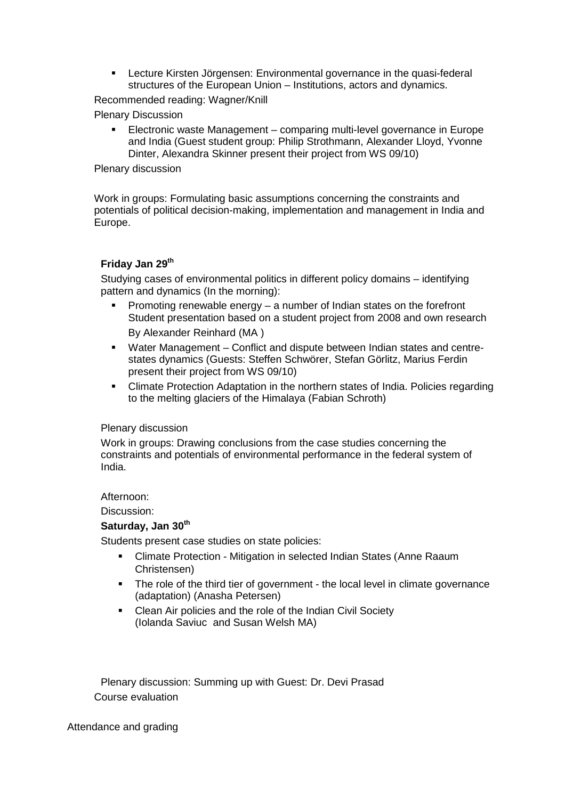Lecture Kirsten Jörgensen: Environmental governance in the quasi-federal structures of the European Union – Institutions, actors and dynamics.

Recommended reading: Wagner/Knill

Plenary Discussion

 Electronic waste Management – comparing multi-level governance in Europe and India (Guest student group: Philip Strothmann, Alexander Lloyd, Yvonne Dinter, Alexandra Skinner present their project from WS 09/10)

#### Plenary discussion

Work in groups: Formulating basic assumptions concerning the constraints and potentials of political decision-making, implementation and management in India and Europe.

# **Friday Jan 29th**

Studying cases of environmental politics in different policy domains – identifying pattern and dynamics (In the morning):

- **Promoting renewable energy a number of Indian states on the forefront** Student presentation based on a student project from 2008 and own research By Alexander Reinhard (MA )
- Water Management Conflict and dispute between Indian states and centrestates dynamics (Guests: Steffen Schwörer, Stefan Görlitz, Marius Ferdin present their project from WS 09/10)
- Climate Protection Adaptation in the northern states of India. Policies regarding to the melting glaciers of the Himalaya (Fabian Schroth)

### Plenary discussion

Work in groups: Drawing conclusions from the case studies concerning the constraints and potentials of environmental performance in the federal system of India.

#### Afternoon:

Discussion:

### **Saturday, Jan 30th**

Students present case studies on state policies:

- Climate Protection Mitigation in selected Indian States (Anne Raaum Christensen)
- The role of the third tier of government the local level in climate governance (adaptation) (Anasha Petersen)
- Clean Air policies and the role of the Indian Civil Society (Iolanda Saviuc and Susan Welsh MA)

Plenary discussion: Summing up with Guest: Dr. Devi Prasad Course evaluation

Attendance and grading